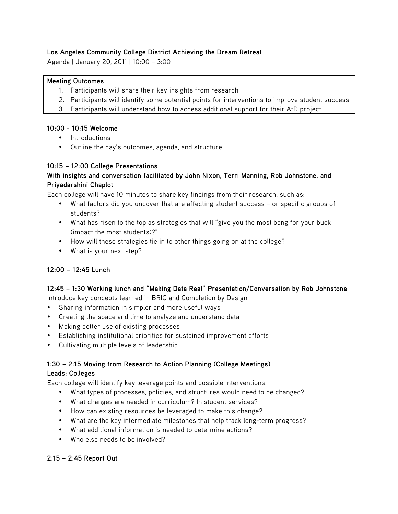## **Los Angeles Community College District Achieving the Dream Retreat**

Agenda | January 20, 2011 | 10:00 – 3:00

## **Meeting Outcomes**

- 1. Participants will share their key insights from research
- 2. Participants will identify some potential points for interventions to improve student success
- 3. Participants will understand how to access additional support for their AtD project

#### **10:00 - 10:15 Welcome**

- Introductions
- Outline the day's outcomes, agenda, and structure

#### **10:15 – 12:00 College Presentations**

## **With insights and conversation facilitated by John Nixon, Terri Manning, Rob Johnstone, and Priyadarshini Chaplot**

Each college will have 10 minutes to share key findings from their research, such as:

- What factors did you uncover that are affecting student success or specific groups of students?
- What has risen to the top as strategies that will "give you the most bang for your buck (impact the most students)?"
- How will these strategies tie in to other things going on at the college?
- What is your next step?

## **12:00 – 12:45 Lunch**

# **12:45 – 1:30 Working lunch and "Making Data Real" Presentation/Conversation by Rob Johnstone**

- Introduce key concepts learned in BRIC and Completion by Design
- Sharing information in simpler and more useful ways
- Creating the space and time to analyze and understand data
- Making better use of existing processes
- Establishing institutional priorities for sustained improvement efforts
- Cultivating multiple levels of leadership

## **1:30 – 2:15 Moving from Research to Action Planning (College Meetings) Leads: Colleges**

Each college will identify key leverage points and possible interventions.

- What types of processes, policies, and structures would need to be changed?
- What changes are needed in curriculum? In student services?
- How can existing resources be leveraged to make this change?
- What are the key intermediate milestones that help track long-term progress?
- What additional information is needed to determine actions?
- Who else needs to be involved?

#### **2:15 – 2:45 Report Out**